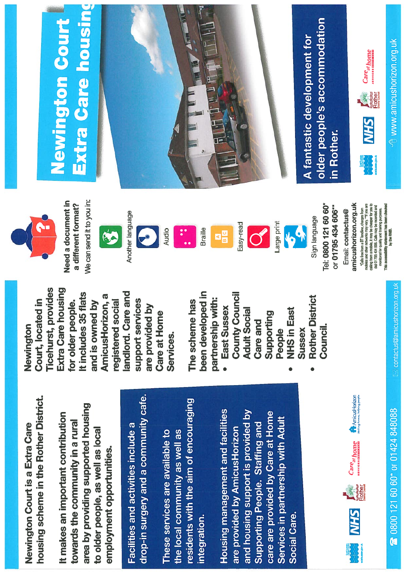housing scheme in the Rother District. housing scheme in the Rother District. Newington Court is a Extra Care Newington Court is a Extra Care

area by providing supported housing area by providing supported housing t makes an important contribution It makes an important contribution towards the community in a rural towards the community in a rural to older people, as well as local to older people, as well as local employment opportunities. employment opportunities.

drop-in surgery and a community cafe. drop-in surgery and a community cafe. Facilities and activities include a Facilities and activities include a

residents with the aim of encouraging residents with the aim of encouraging These services are available to the local community as well as These services are available to the local community as well as integration.

Housing management and facilities Housing management and facilities and housing support is provided by and housing support is provided by care are provided by Care at Home care are provided by Care at Home Services in partnership with Adult Services in partnership with Adult Supporting People. Staffing and Supporting People. Staffing and are provided by AmicusHorizon are provided by AmicusHorizon Social Care.

1<br>1999 - Care al home 4 AmicusHorizon<br>1999 - Care al home 4 AmicusHorizon<br>1999 - Care al home 4 AmicusHorizon Rother M.R.



































 $0800$  121  $60$   $60^{\star}$  or  $01424$   $848088$   $\hfill \textcolor{red}{\blacksquare}$  contactus@amicushorizon.org.uk

contactus@amicushorizon.org.uk





Newington

Court, located in Ticehurst, provides Extra Care housing for older people. It includes 35 flats and is owned by AmicusHorizon, a registered social landlord. Care and support services are provided by Care at Home

Court, located in

**Ticehurst, provides** Extra Care housing

We can send it to you in: Need a document in We can send it to you in: Need a document in a different format? a different format?

It includes 35 flats

for older people.



landlord. Care and

support services

are provided by

**Care at Home** 

AmicusHorizon, a

and is owned by

registered social



Services.

The scheme has been developed in partnership with: • East Sussex

The scheme has

been developed in

partnership with:

East Sussex



Braille

County Council Adult Social Care and Supporting People • NHSin East Sussex

**County Council** 





**VOOR** 

• Rother District

**NHS in East** 

**Rother District** 

Council.

Sign language Sign language

or 01795 434 606\*\*\* or 01795 434 606\*\*\*

Tel: 0800 121 60 60\* Tel: 0800 121 60 60\*

Email: contactus@ Email: contactus@

amicushorizon.org.uk amicushorizon.org.uk Calls free from a BT landine, charges from

"Calls free from a BT landine, charges from<br>mobiles and other networks may vary.""If you are calling from a mobile, it may be cheaper for you to<br>dial 01795 434 606. Callis may be recorded and caling from a mobile, it may be cheaper for you to monitored for quality and training purposes.<br>This accessibility statement has been checked<br>by the RNIB. This accessibility staisment has been checked mobiles and other networks may vary. "If you are dial 01795 434 606. Calls may he recorded and monitored for quality and training purposes.

## Extra Care housing **Newington Court** Newington Court Extra Care



older people's accommodation<br>in Rother. older people's accommodation A fantastic development for A fantastic development for

Care<sub>at home</sub>  $\sum_{\text{core}}$  Careat home Rother **NHS** 

<sup>1</sup> www.amicushorizon.org.uk  $\mathrm{^{\prime}}$ 0 www.amicushorizon.org.uk